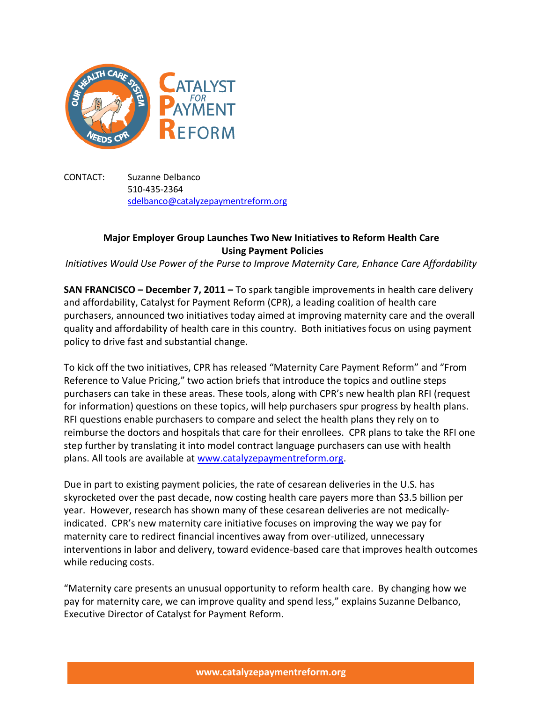

CONTACT: Suzanne Delbanco 510-435-2364 [sdelbanco@catalyzepaymentreform.org](mailto:sdelbanco@catalyzepaymentreform.org)

## **Major Employer Group Launches Two New Initiatives to Reform Health Care Using Payment Policies**

*Initiatives Would Use Power of the Purse to Improve Maternity Care, Enhance Care Affordability*

**SAN FRANCISCO – December 7, 2011 –** To spark tangible improvements in health care delivery and affordability, Catalyst for Payment Reform (CPR), a leading coalition of health care purchasers, announced two initiatives today aimed at improving maternity care and the overall quality and affordability of health care in this country. Both initiatives focus on using payment policy to drive fast and substantial change.

To kick off the two initiatives, CPR has released "Maternity Care Payment Reform" and "From Reference to Value Pricing," two action briefs that introduce the topics and outline steps purchasers can take in these areas. These tools, along with CPR's new health plan RFI (request for information) questions on these topics, will help purchasers spur progress by health plans. RFI questions enable purchasers to compare and select the health plans they rely on to reimburse the doctors and hospitals that care for their enrollees. CPR plans to take the RFI one step further by translating it into model contract language purchasers can use with health plans. All tools are available at [www.catalyzepaymentreform.org.](http://www.catalyzepaymentreform.org/)

Due in part to existing payment policies, the rate of cesarean deliveries in the U.S. has skyrocketed over the past decade, now costing health care payers more than \$3.5 billion per year. However, research has shown many of these cesarean deliveries are not medicallyindicated. CPR's new maternity care initiative focuses on improving the way we pay for maternity care to redirect financial incentives away from over-utilized, unnecessary interventions in labor and delivery, toward evidence-based care that improves health outcomes while reducing costs.

"Maternity care presents an unusual opportunity to reform health care. By changing how we pay for maternity care, we can improve quality and spend less," explains Suzanne Delbanco, Executive Director of Catalyst for Payment Reform.